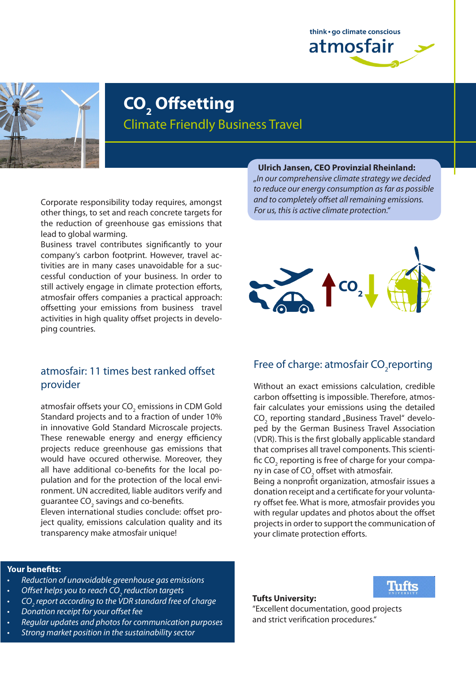



# **CO2 Offsetting** Climate Friendly Business Travel

Corporate responsibility today requires, amongst other things, to set and reach concrete targets for the reduction of greenhouse gas emissions that lead to global warming.

Business travel contributes significantly to your company's carbon footprint. However, travel activities are in many cases unavoidable for a successful conduction of your business. In order to still actively engage in climate protection efforts, atmosfair offers companies a practical approach: offsetting your emissions from business travel activities in high quality offset projects in developing countries.

### atmosfair: 11 times best ranked offset provider

atmosfair offsets your CO<sub>2</sub> emissions in CDM Gold Standard projects and to a fraction of under 10% in innovative Gold Standard Microscale projects. These renewable energy and energy efficiency projects reduce greenhouse gas emissions that would have occured otherwise. Moreover, they all have additional co-benefits for the local population and for the protection of the local environment. UN accredited, liable auditors verify and guarantee CO<sub>2</sub> savings and co-benefits.

Eleven international studies conclude: offset project quality, emissions calculation quality and its transparency make atmosfair unique!

#### **Ulrich Jansen, CEO Provinzial Rheinland:**

*"In our comprehensive climate strategy we decided to reduce our energy consumption as far as possible and to completely offset all remaining emissions. For us, this is active climate protection."*



# Free of charge: atmosfair CO<sub>2</sub>reporting

Without an exact emissions calculation, credible carbon offsetting is impossible. Therefore, atmosfair calculates your emissions using the detailed  $CO<sub>2</sub>$  reporting standard "Business Travel" developed by the German Business Travel Association (VDR). This is the first globally applicable standard that comprises all travel components. This scientific CO<sub>2</sub> reporting is free of charge for your company in case of CO<sub>2</sub> offset with atmosfair.

Being a nonprofit organization, atmosfair issues a donation receipt and a certificate for your voluntary offset fee. What is more, atmosfair provides you with regular updates and photos about the offset projects in order to support the communication of your climate protection efforts.

#### **Your benefits:**

- • *Reduction of unavoidable greenhouse gas emissions*
- • *Offset helps you to reach CO2 reduction targets*
- • *CO2 report according to the VDR standard free of charge*
- • *Donation receipt for your offset fee*
- • *Regular updates and photos for communication purposes*
- **Strong market position in the sustainability sector**

#### **Tufts University:**



"Excellent documentation, good projects and strict verification procedures."